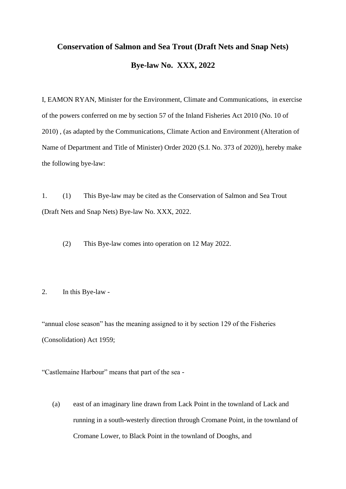# **Conservation of Salmon and Sea Trout (Draft Nets and Snap Nets) Bye-law No. XXX, 2022**

I, EAMON RYAN, Minister for the Environment, Climate and Communications, in exercise of the powers conferred on me by section 57 of the Inland Fisheries Act 2010 (No. 10 of 2010) , (as adapted by the Communications, Climate Action and Environment (Alteration of Name of Department and Title of Minister) Order 2020 (S.I. No. 373 of 2020)), hereby make the following bye-law:

1. (1) This Bye-law may be cited as the Conservation of Salmon and Sea Trout (Draft Nets and Snap Nets) Bye-law No. XXX, 2022.

(2) This Bye-law comes into operation on 12 May 2022.

#### 2. In this Bye-law -

"annual close season" has the meaning assigned to it by section 129 of the Fisheries (Consolidation) Act 1959;

"Castlemaine Harbour" means that part of the sea -

(a) east of an imaginary line drawn from Lack Point in the townland of Lack and running in a south-westerly direction through Cromane Point, in the townland of Cromane Lower, to Black Point in the townland of Dooghs, and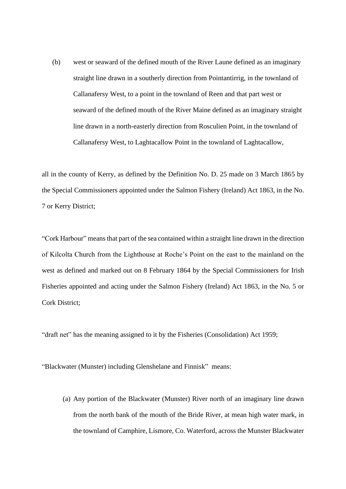(b) west or seaward of the defined mouth of the River Laune defined as an imaginary straight line drawn in a southerly direction from Pointantirrig, in the townland of Callanafersy West, to a point in the townland of Reen and that part west or seaward of the defined mouth of the River Maine defined as an imaginary straight line drawn in a north-easterly direction from Rosculien Point, in the townland of Callanafersy West, to Laghtacallow Point in the townland of Laghtacallow,

all in the county of Kerry, as defined by the Definition No. D. 25 made on 3 March 1865 by the Special Commissioners appointed under the Salmon Fishery (Ireland) Act 1863, in the No. 7 or Kerry District;

"Cork Harbour" means that part of the sea contained within a straight line drawn in the direction of Kilcolta Church from the Lighthouse at Roche's Point on the east to the mainland on the west as defined and marked out on 8 February 1864 by the Special Commissioners for Irish Fisheries appointed and acting under the Salmon Fishery (Ireland) Act 1863, in the No. 5 or Cork District;

"draft net" has the meaning assigned to it by the Fisheries (Consolidation) Act 1959;

"Blackwater (Munster) including Glenshelane and Finnisk" means:

(a) Any portion of the Blackwater (Munster) River north of an imaginary line drawn from the north bank of the mouth of the Bride River, at mean high water mark, in the townland of Camphire, Lismore, Co. Waterford, across the Munster Blackwater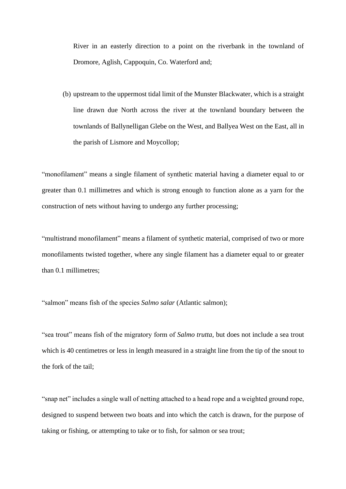River in an easterly direction to a point on the riverbank in the townland of Dromore, Aglish, Cappoquin, Co. Waterford and;

(b) upstream to the uppermost tidal limit of the Munster Blackwater, which is a straight line drawn due North across the river at the townland boundary between the townlands of Ballynelligan Glebe on the West, and Ballyea West on the East, all in the parish of Lismore and Moycollop;

"monofilament" means a single filament of synthetic material having a diameter equal to or greater than 0.1 millimetres and which is strong enough to function alone as a yarn for the construction of nets without having to undergo any further processing;

"multistrand monofilament" means a filament of synthetic material, comprised of two or more monofilaments twisted together, where any single filament has a diameter equal to or greater than 0.1 millimetres;

"salmon" means fish of the species *Salmo salar* (Atlantic salmon);

"sea trout" means fish of the migratory form of *Salmo trutta,* but does not include a sea trout which is 40 centimetres or less in length measured in a straight line from the tip of the snout to the fork of the tail;

"snap net" includes a single wall of netting attached to a head rope and a weighted ground rope, designed to suspend between two boats and into which the catch is drawn, for the purpose of taking or fishing, or attempting to take or to fish, for salmon or sea trout;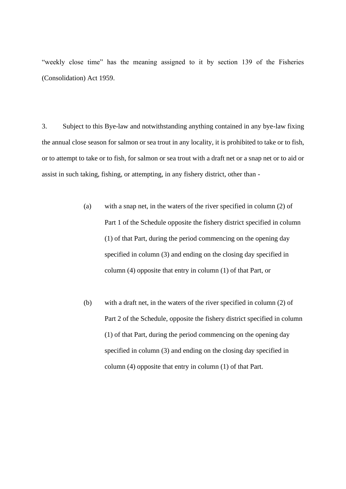"weekly close time" has the meaning assigned to it by section 139 of the Fisheries (Consolidation) Act 1959.

3. Subject to this Bye-law and notwithstanding anything contained in any bye-law fixing the annual close season for salmon or sea trout in any locality, it is prohibited to take or to fish, or to attempt to take or to fish, for salmon or sea trout with a draft net or a snap net or to aid or assist in such taking, fishing, or attempting, in any fishery district, other than -

- (a) with a snap net, in the waters of the river specified in column (2) of Part 1 of the Schedule opposite the fishery district specified in column (1) of that Part, during the period commencing on the opening day specified in column (3) and ending on the closing day specified in column (4) opposite that entry in column (1) of that Part, or
- (b) with a draft net, in the waters of the river specified in column (2) of Part 2 of the Schedule, opposite the fishery district specified in column (1) of that Part, during the period commencing on the opening day specified in column (3) and ending on the closing day specified in column (4) opposite that entry in column (1) of that Part.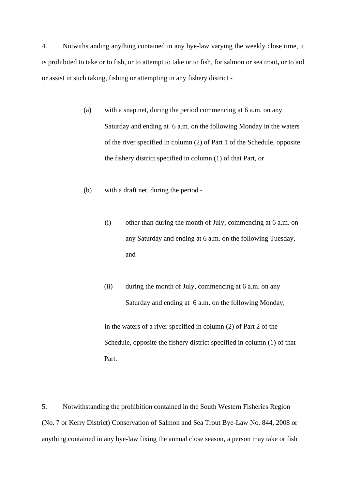4. Notwithstanding anything contained in any bye-law varying the weekly close time, it is prohibited to take or to fish, or to attempt to take or to fish, for salmon or sea trout**,** or to aid or assist in such taking, fishing or attempting in any fishery district -

- (a) with a snap net, during the period commencing at 6 a.m. on any Saturday and ending at 6 a.m. on the following Monday in the waters of the river specified in column (2) of Part 1 of the Schedule, opposite the fishery district specified in column (1) of that Part, or
- (b) with a draft net, during the period
	- (i) other than during the month of July, commencing at 6 a.m. on any Saturday and ending at 6 a.m. on the following Tuesday, and
	- (ii) during the month of July, commencing at 6 a.m. on any Saturday and ending at 6 a.m. on the following Monday,

in the waters of a river specified in column (2) of Part 2 of the Schedule, opposite the fishery district specified in column (1) of that Part.

5. Notwithstanding the prohibition contained in the South Western Fisheries Region (No. 7 or Kerry District) Conservation of Salmon and Sea Trout Bye-Law No. 844, 2008 or anything contained in any bye-law fixing the annual close season, a person may take or fish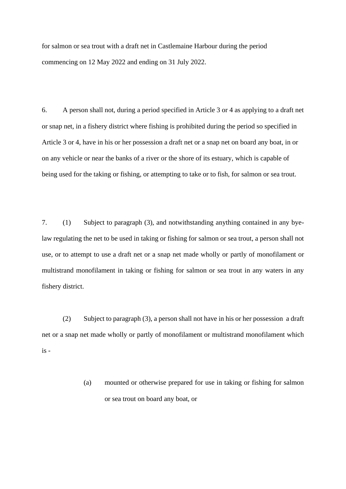for salmon or sea trout with a draft net in Castlemaine Harbour during the period commencing on 12 May 2022 and ending on 31 July 2022.

6. A person shall not, during a period specified in Article 3 or 4 as applying to a draft net or snap net, in a fishery district where fishing is prohibited during the period so specified in Article 3 or 4, have in his or her possession a draft net or a snap net on board any boat, in or on any vehicle or near the banks of a river or the shore of its estuary, which is capable of being used for the taking or fishing, or attempting to take or to fish, for salmon or sea trout.

7. (1) Subject to paragraph (3), and notwithstanding anything contained in any byelaw regulating the net to be used in taking or fishing for salmon or sea trout, a person shall not use, or to attempt to use a draft net or a snap net made wholly or partly of monofilament or multistrand monofilament in taking or fishing for salmon or sea trout in any waters in any fishery district.

(2) Subject to paragraph (3), a person shall not have in his or her possession a draft net or a snap net made wholly or partly of monofilament or multistrand monofilament which is -

> (a) mounted or otherwise prepared for use in taking or fishing for salmon or sea trout on board any boat, or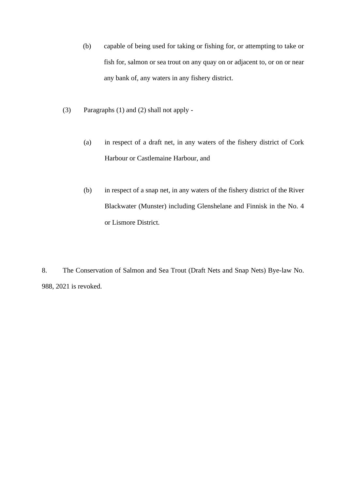- (b) capable of being used for taking or fishing for, or attempting to take or fish for, salmon or sea trout on any quay on or adjacent to, or on or near any bank of, any waters in any fishery district.
- (3) Paragraphs (1) and (2) shall not apply
	- (a) in respect of a draft net, in any waters of the fishery district of Cork Harbour or Castlemaine Harbour, and
	- (b) in respect of a snap net, in any waters of the fishery district of the River Blackwater (Munster) including Glenshelane and Finnisk in the No. 4 or Lismore District.

8. The Conservation of Salmon and Sea Trout (Draft Nets and Snap Nets) Bye-law No. 988, 2021 is revoked.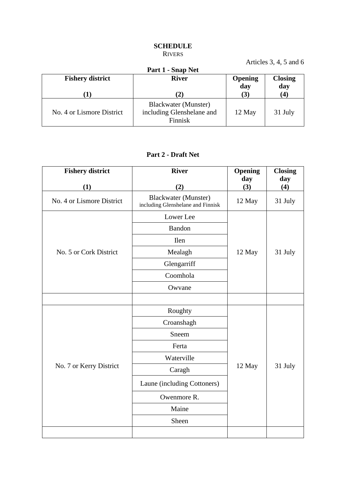## **SCHEDULE** RIVERS

Articles 3, 4, 5 and 6

| $1$ and $0.000$ $\sigma$ , $\sigma$ and $\sigma$<br>Part 1 - Snap Net |                                                                     |                       |                       |  |  |
|-----------------------------------------------------------------------|---------------------------------------------------------------------|-----------------------|-----------------------|--|--|
| <b>Fishery district</b>                                               | <b>River</b>                                                        | <b>Opening</b><br>day | <b>Closing</b><br>day |  |  |
|                                                                       | (2)                                                                 | (3)                   | (4)                   |  |  |
| No. 4 or Lismore District                                             | <b>Blackwater</b> (Munster)<br>including Glenshelane and<br>Finnisk | 12 May                | 31 July               |  |  |

## **Part 2 - Draft Net**

| <b>Fishery district</b>   | <b>River</b>                                                     | Opening    | <b>Closing</b> |
|---------------------------|------------------------------------------------------------------|------------|----------------|
| (1)                       | (2)                                                              | day<br>(3) | day<br>(4)     |
| No. 4 or Lismore District | <b>Blackwater (Munster)</b><br>including Glenshelane and Finnisk | 12 May     | 31 July        |
|                           | Lower Lee                                                        |            | 31 July        |
|                           | Bandon                                                           |            |                |
|                           | <b>Ilen</b>                                                      |            |                |
| No. 5 or Cork District    | Mealagh                                                          | 12 May     |                |
|                           | Glengarriff                                                      |            |                |
|                           | Coomhola                                                         |            |                |
|                           | Owvane                                                           |            |                |
|                           |                                                                  |            |                |
|                           | Roughty                                                          | 12 May     | 31 July        |
| No. 7 or Kerry District   | Croanshagh                                                       |            |                |
|                           | Sneem                                                            |            |                |
|                           | Ferta                                                            |            |                |
|                           | Waterville                                                       |            |                |
|                           | Caragh                                                           |            |                |
|                           | Laune (including Cottoners)                                      |            |                |
|                           | Owenmore R.                                                      |            |                |
|                           | Maine                                                            |            |                |
|                           | Sheen                                                            |            |                |
|                           |                                                                  |            |                |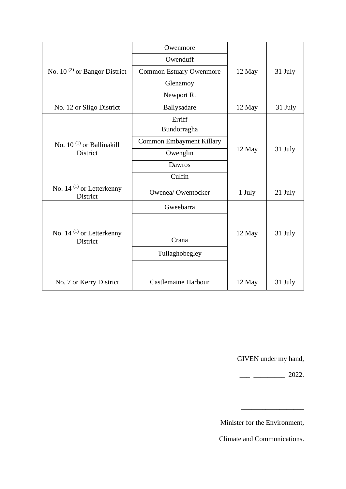| No. $10^{(2)}$ or Bangor District                | Owenmore                       | 12 May | 31 July |
|--------------------------------------------------|--------------------------------|--------|---------|
|                                                  | Owenduff                       |        |         |
|                                                  | <b>Common Estuary Owenmore</b> |        |         |
|                                                  | Glenamoy                       |        |         |
|                                                  | Newport R.                     |        |         |
| No. 12 or Sligo District                         | Ballysadare                    | 12 May | 31 July |
| No. 10 <sup>(1)</sup> or Ballinakill<br>District | Erriff                         | 12 May | 31 July |
|                                                  | Bundorragha                    |        |         |
|                                                  | Common Embayment Killary       |        |         |
|                                                  | Owenglin                       |        |         |
|                                                  | Dawros                         |        |         |
|                                                  | Culfin                         |        |         |
| No. $14^{(1)}$ or Letterkenny<br>District        | Owenea/Owentocker              | 1 July | 21 July |
| No. $14^{(1)}$ or Letterkenny<br><b>District</b> | Gweebarra                      | 12 May | 31 July |
|                                                  |                                |        |         |
|                                                  |                                |        |         |
|                                                  | Crana                          |        |         |
|                                                  | Tullaghobegley                 |        |         |
|                                                  |                                |        |         |
| No. 7 or Kerry District                          | <b>Castlemaine Harbour</b>     | 12 May | 31 July |

GIVEN under my hand,

 $\frac{1}{2022}$ .

 $\overline{\phantom{a}}$  , we can also the contract of  $\overline{\phantom{a}}$ 

Minister for the Environment,

Climate and Communications.